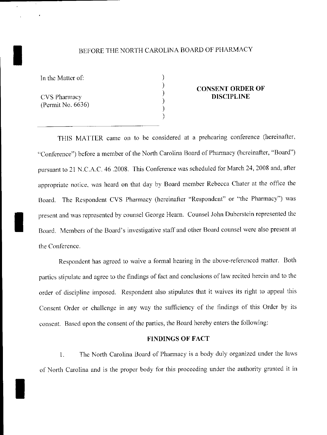# BEFORE THE NORTH CAROLINA BOARD OF PHARMACY

) ) ) ) ) )

In the Matter of:

CVS Pharmacy (Permit No. 6636)

I

I

### **CONSENT ORDER OF DISCIPLINE**

THIS MATTER came on to be considered at a prehearing conference (hereinafter, "Conference") before a member of the North Carolina Board of Pharmacy (hereinafter, "Board") pursuant to 21 N.C.A.C. 46 .2008. This Conference was scheduled tor March 24, 2008 and, after appropriate notice. was heard on that day by Board member Rebecca Chater at the office the Board. The Respondent CVS Pharmacy (hereinafter "Respondent" or "the Pharmacy") was present and was represented by counsel George Hearn. Counsel John Dubcrslein represented the Board. Members of the Board's investigative staff and other Board counsel were also present at the Conference.

Respondent has agreed to waive a formal hearing in the above-referenced matter. Both parties stipulate and agree to the findings of fact and conclusions of law recited hercin and to the order of discipline imposed. Respondent also stipulates that it waives its right to appeal this Consent Order or challenge in any way the sufficiency of the findings of this Order by its consent. Based upon the consent of the parties, the Board hereby enters the following:

#### **FINDINGS OF FACT**

I. The North Carolina Board of Phannacy is a body duly organized under the laws of North Carolina and is the proper body for this proceeding under the authority granted it in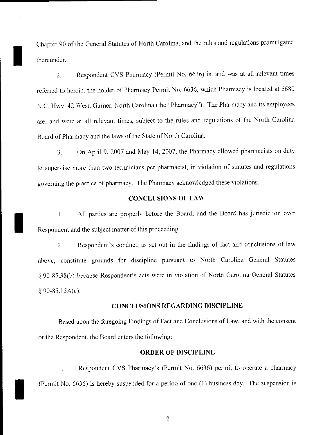Chapter 90 of the General Statutes of North Carolina, and the rules and regulations promulgated thereunder.

I

I

I

2. Respondent CYS Pharmacy (Permit No. 6636) is, and was at all relevant times referrcd to hercin, the holder of Pharmacy Permit No. 6636, which Pharmacy is located at 5680 N.C. Hwy. 42 West, Garner, North Carolina (the "Pharmacy"). The Pharmacy and its employees are, and were at all relevant times, subject to the rules and regulations of the North Carolina Board of Pharmacy and the laws of the State of North Carolina.

3. On April 9, 2007 and May 14,2007, the Pharmacy allowed pharmacists on duty to supervise more than two technicians per pharmacist, in violation of statutes and regulations governing the practice of pharmacy. The Pharmacy acknowledged these violations.

## CONCLUSIONS OF LAW

1. All parties are properly before the Board, and the Board has jurisdiction over Respondent and the subject matter of this proceeding.

2. Respondent's conduct, as set out in the findings of fact and conclusions of law above, constitute grounds for discipline pursuant to North Carolina General Statutes § 90-85.38(b) because Respondent's acts were in violation of North Carolina General Statutes  $§ 90-85.15A(c).$ 

### CONCLUSIONS REGARDING DISCIPLINE

Based upon the foregoing Findings of Fact and Conclusions of Law, and with the consent of the Respondent, the Board enters the following:

### ORDER OF DISCIPLINE

J. Respondent CYS Pharmacy's (Permit No. 6636) permit to operate a pharmacy (Permit No. 6636) is hereby suspended for a period of one (I) business day. The suspension is

2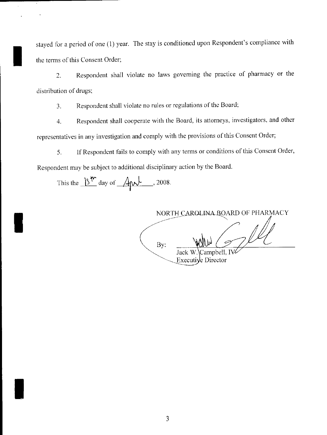stayed for a period of one (1) year. The stay is conditioned upon Respondent's compliance with the terms of this Consent Order;

2. Respondent shall violate no laws governing the practice of pharmacy or the distribution of drugs;

3. Respondent shall violate no rules or regulations of the Board;

4. Respondent shall cooperate with the Board, its attorneys, investigators, and other representatives in any investigation and comply with the provisions ofthis Consent Order;

5. If Respondent fails to comply with any terms or conditions ofthis Consent Order, Respondent may be subject to additional disciplinary action by the Board.

This the  $\frac{15^{4n}}{3}$  day of  $\frac{4}{3}$ , 2008.

I

I

I

NORTH CAROLINA ROARD OF PHARMACY

By: Jack W. Campbell, IV: Executive Director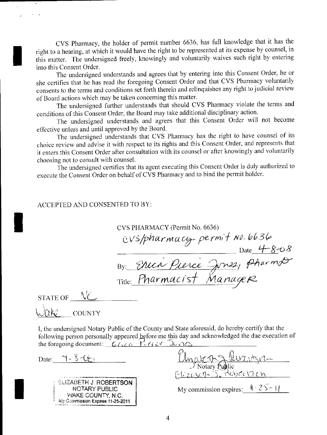CVS Pharmacy, the holder of permit number 6636, has full knowledge that it has the right to a hearing, at which it would have the right to be represented at its expense by counsel, in this matter. The undersigned freely, knowingly and voluntarily waives such right by entering into this Consent Order.

The undersigned understands and agrees that by entering into this Consent Order, he or she certifies that he has read the foregoing Consent Order and that CVS Pharmacy voluntarily consents to the terms and conditions set forth therein and relinquishes any right to judicial review of Board actions which may be taken concerning this matter.

The undersigned further understands that should CVS Pharmacy violate the terms and conditions of this Consent Order, the Board may take additional disciplinary action.

The undersigned understands and agrees that this Consent Order will not become effective unless and until approved by the Board.

The undersigned understands that CVS Pharmacy has the right to have counsel of its choice review and advise it with respect to its rights and this Consent Order, and represents that it enters this Consent Order after consultation with its counsel or after knowingly and voluntarily choosing not to consult with counsel.

The undersigned certifies that its agent executing this Consent Order is duly authorized to execute the Consent Order on behalf of CVS Pharmacy and to bind the permit holder.

# ACCEPTED AND CONSENTED TO BY:

CVS PHARMACY (Permit No. 6636) cvs/pharmacy-permit No. 6636<br>Date 4-8-08<br>By: Thenie Pierce Jones, Pharmod

STATE OF  $\sqrt{\frac{1}{2}}$ lnka. **COUNTY** 

I, the undersigned Notary Public of the County and State aforesaid, do hereby certify that the following person personally appeared before me this day and acknowledged the due execution of the foregoing document: *Glica* Pierce Junes

Date:  $\gamma - \delta \ll \psi$ 

| <b>ELIZABETH J. ROBERTSON</b>    |
|----------------------------------|
| NOTARY PUBLIC                    |
| WAKE COUNTY N.C.                 |
| Wy Commission Expires 11-25-2011 |

| <u>Chyakan Shuridger</u><br>Elizavers Schobertson |
|---------------------------------------------------|
| My commission expires: $\sqrt{25 - 1}$            |
|                                                   |